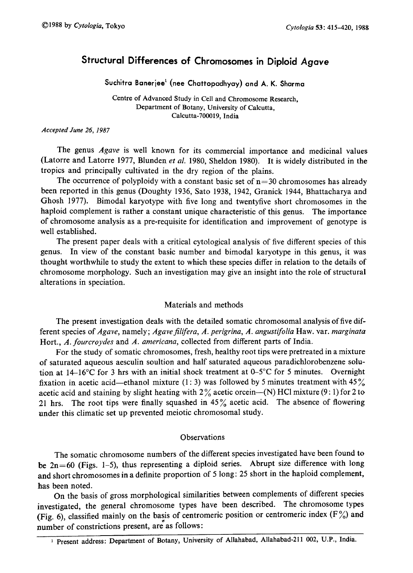# Structural Differences of Chromosomes in Diploid Agave

Suchitra Banerjee<sup>1</sup> (nee Chattopadhyay) and A. K. Sharma

Centre of Advanced Study in Cell and Chromosome Research, Department of Botany, University of Calcutta, Calcutta-700019, India

#### Accepted June 26, 1987

The genus Agave is well known for its commercial importance and medicinal values (Latorre and Latorre 1977, Blunden et al. 1980, Sheldon 1980). It is widely distributed in the tropics and principally cultivated in the dry region of the plains.

The occurrence of polyploidy with a constant basic set of  $n=30$  chromosomes has already been reported in this genus (Doughty 1936, Sato 1938, 1942, Granick 1944, Bhattacharya and Ghosh 1977). Bimodal karyotype with five long and twentyfive short chromosomes in the haploid complement is rather a constant unique characteristic of this genus. The importance of chromosome analysis as a pre-requisite for identification and improvement of genotype is well established.

The present paper deals with a critical cytological analysis of five different species of this genus. In view of the constant basic number and bimodal karyotype in this genus, it was thought worthwhile to study the extent to which these species differ in relation to the details of chromosome morphology. Such an investigation may give an insight into the role of structural alterations in speciation.

# Materials and methods

The present investigation deals with the detailed somatic chromosomal analysis of five dif ferent species of Agave, namely; Agave filifera, A. perigrina, A. angustifolia Haw. var. marginata Hort., A. fourcroydes and A. americana, collected from different parts of India.

For the study of somatic chromosomes, fresh, healthy root tips were pretreated in a mixture of saturated aqueous aesculin soultion and half saturated aqueous paradichlorobenzene solu tion at  $14-16^{\circ}$ C for 3 hrs with an initial shock treatment at  $0-5^{\circ}$ C for 5 minutes. Overnight fixation in acetic acid—ethanol mixture (1:3) was followed by 5 minutes treatment with  $45\%$ acetic acid and staining by slight heating with  $2\%$  acetic orcein--(N) HCl mixture (9:1) for 2 to 21 hrs. The root tips were finally squashed in  $45\%$  acetic acid. The absence of flowering under this climatic set up prevented meiotic chromosomal study.

### **Observations**

The somatic chromosome numbers of the different species investigated have been found to be  $2n=60$  (Figs. 1-5), thus representing a diploid series. Abrupt size difference with long and short chromosomes in a definite proportion of 5 long: 25 short in the haploid complement, has been noted.

On the basis of gross morphological similarities between complements of different species investigated, the general chromosome types have been described. The chromosome types (Fig. 6), classified mainly on the basis of centromeric position or centromeric index (F $\%$ ) and number of constrictions present, are as follows:

<sup>&</sup>lt;sup>1</sup> Present address: Department of Botany, University of Allahabad, Allahabad-211 002, U.P., India.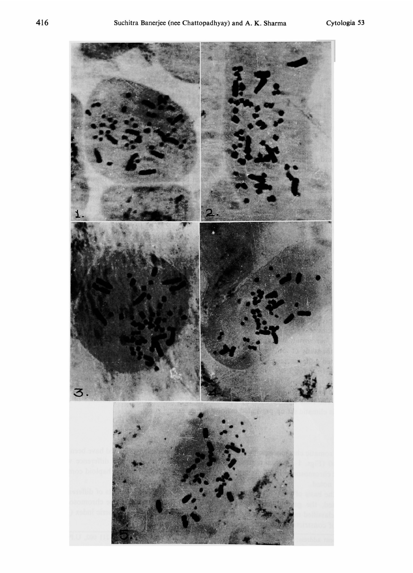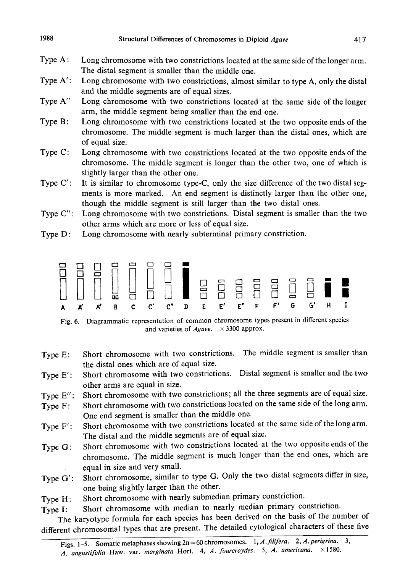| 1988        | Structural Differences of Chromosomes in Diploid Agave                             | 417 |
|-------------|------------------------------------------------------------------------------------|-----|
| Type $A$ :  | Long chromosome with two constrictions located at the same side of the longer arm. |     |
|             | The distal segment is smaller than the middle one.                                 |     |
| Type $A'$ : | Long chromosome with two constrictions, almost similar to type A, only the distal  |     |
|             | and the middle segments are of equal sizes.                                        |     |

- Type A<sup>"</sup> Long chromosome with two constrictions located at the same side of the longer arm, the middle segment being smaller than the end one.
- Type B: Long chromosome with two constrictions located at the two opposite ends of the chromosome. The middle segment is much larger than the distal ones, which are of equal size.
- Type C: Long chromosome with two constrictions located at the two opposite ends of the chromosome. The middle segment is longer than the other two, one of which is slightly larger than the other one.
- Type  $C'$ : It is similar to chromosome type-C, only the size difference of the two distal segments is more marked. An end segment is distinctly larger than the other one, though the middle segment is still larger than the two distal ones.
- Type C'': Long chromosome with two constrictions. Distal segment is smaller than the two other arms which are more or less of equal size.
- Type  $D$ : Long chromosome with nearly subterminal primary constriction.



Fig. 6. Diagrammatic representation of common chromosome types present in different species and varieties of *Agave.*  $\times$  3300 approx.

- Type E: Short chromosome with two constrictions. The middle segment is smaller than the distal ones which are of equal size.
- Type E': Short chromosome with two constrictions. Distal segment is smaller and the two other arms are equal in size.
- Type E": Short chromosome with two constrictions; all the three segments are of equal size.
- Type F: Short chromosome with two constrictions located on the same side of the long arm. One end segment is smaller than the middle one.
- Type F': Short chromosome with two constrictions located at the same side of the long arm. The distal and the middle segments are of equal size.
- Type G: Short chromosome with two constrictions located at the two opposite ends of the chromosome. The middle segment is much longer than the end ones, which are equal in size and very small.
- Type G': Short chromosome, similar to type G. Only the two distal segments differ in size, one being slightly larger than the other.
- Type H: Short chromosome with nearly submedian primary constriction.
- Type I: Short chromosome with median to nearly median primary constriction.

The karyotype formula for each species has been derived on the basis of the number of different chromosomal types that are present. The detailed cytological characters of these five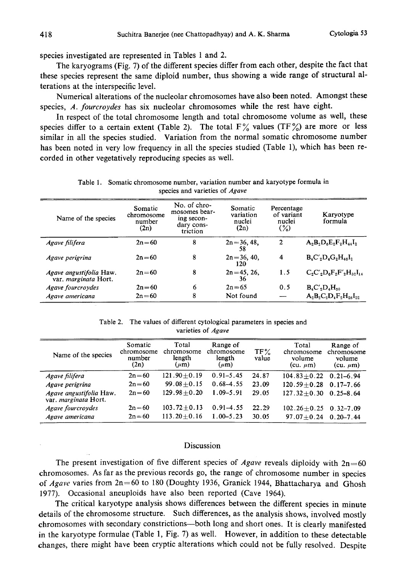species investigated are represented in Tables 1 and 2.

The karyograms (Fig. 7) of the different species differ from each other, despite the fact that these species represent the same diploid number, thus showing a wide range of structural al terations at the interspecific level.

Numerical alterations of the nucleolar chromosomes have also been noted. Amongst these species, A. fourcroydes has six nucleolar chromosomes while the rest have eight.

In respect of the total chromosome length and total chromosome volume as well, these species differ to a certain extent (Table 2). The total  $F\%$  values (TF%) are more or less similar in all the species studied. Variation from the normal somatic chromosome number has been noted in very low frequency in all the species studied (Table 1), which has been re corded in other vegetatively reproducing species as well.

| Name of the species                             | Somatic<br>chromosome<br>number<br>(2n) | No. of chro-<br>mosomes bear-<br>ing secon-<br>dary cons-<br>triction | Somatic<br>variation<br>nuclei<br>(2n) | Percentage<br>of variant<br>nuclei<br>$\frac{1}{2}$ | Karyotype<br>formula          |
|-------------------------------------------------|-----------------------------------------|-----------------------------------------------------------------------|----------------------------------------|-----------------------------------------------------|-------------------------------|
| Agave filifera                                  | $2n = 60$                               | 8                                                                     | $2n = 36, 48,$<br>58                   | 2                                                   | $A_2B_2D_6E_2F_2H_{44}I_2$    |
| Agave perigrina                                 | $2n = 60$                               | 8                                                                     | $2n = 36, 40,$<br>120                  | 4                                                   | $B_4C', D_4G_2H_{4A}I_2$      |
| Agave angustifolia Haw.<br>var. marginata Hort. | $2n = 60$                               | 8                                                                     | $2n = 45, 26,$<br>36                   | 1.5                                                 | $C_2C_2D_6F_2F_2H_{32}I_{14}$ |
| Agave fourcroydes                               | $2n = 60$                               | 6                                                                     | $2n = 65$                              | 0.5                                                 | $B_4C', D_4H_{50}$            |
| Agave americana                                 | $2n = 60$                               | 8                                                                     | Not found                              |                                                     | $A_2B_2C_2D_4F_2H_{26}I_{22}$ |

Table 1. Somatic chromosome number, variation number and karyotype formula in species and varieties of Agave

Table 2. The values of different cytological parameters in species and varieties of Agave

| Name of the species                             | Somatic<br>chromosome<br>number<br>(2n) | Total<br>chromosome<br>length<br>$(\mu m)$ | Range of<br>chromosome<br>length<br>$(\mu m)$ | TF%<br>value | Total<br>chromosome<br>volume<br>(cu. $\mu$ m) | Range of<br>chromosome<br>volume<br>$(cu. \mu m)$ |
|-------------------------------------------------|-----------------------------------------|--------------------------------------------|-----------------------------------------------|--------------|------------------------------------------------|---------------------------------------------------|
| Agave filifera                                  | $2n = 60$                               | $121.90 + 0.19$                            | $0.91 - 5.45$                                 | 24.87        | $104.83 + 0.22$                                | $0.21 - 6.94$                                     |
| Agave perigrina                                 | $2n = 60$                               | $99.08 + 0.15$                             | $0.68 - 4.55$                                 | 23.09        | $120.59 + 0.28$                                | $0.17 - 7.66$                                     |
| Agave angustifolia Haw.<br>var. marginata Hort. | $2n = 60$                               | $129.98 + 0.20$                            | $1.09 - 5.91$                                 | 29.05        | $127.32 + 0.30$                                | $0.25 - 8.64$                                     |
| <b>Agave fourcroydes</b>                        | $2n = 60$                               | $103.72 + 0.13$                            | $0.91 - 4.55$                                 | 22.29        | $102.26 + 0.25$                                | $0.32 - 7.09$                                     |
| Agave americana                                 | $2n = 60$                               | $113.20 + 0.16$                            | $1.00 - 5.23$                                 | 30.05        | $97.07 + 0.24$                                 | $0.20 - 7.44$                                     |

## Discussion

The present investigation of five different species of *Agave* reveals diploidy with  $2n=60$ chromosomes. As far as the previous records go, the range of chromosome number in species of Agave varies from  $2n=60$  to 180 (Doughty 1936, Granick 1944, Bhattacharya and Ghosh 1977). Occasional aneuploids have also been reported (Cave 1964).

The critical karyotype analysis shows differences between the different species in minute details of the chromosome structure. Such differences, as the analysis shows, involved mostly chromosomes with secondary constrictions-both long and short ones. It is clearly manifested in the karyotype formulae (Table 1, Fig. 7) as well. However, in addition to these detectable changes, there might have been cryptic alterations which could not be fully resolved. Despite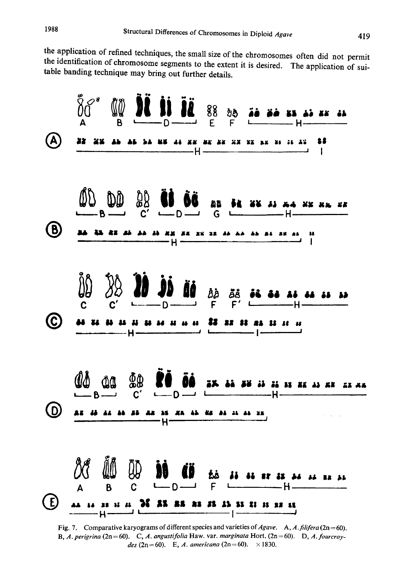the application of refined techniques, the small size of the chromosomes often did not permi the identification of chromosome segments to the extent it is desired. The application of suitable 1.1 table banding technique may bring out further details .



Fig. 7. Comparative karyograms of different species and varieties of Agave. A, A. filifera (2n=60). B, A. perigrina (2n=60). C, A. angustifolia Haw. var. marginata Hort. (2n=60). D, A. fourcroydes (2n=60). E, A. americana (2n=60).  $\times$ 1830.